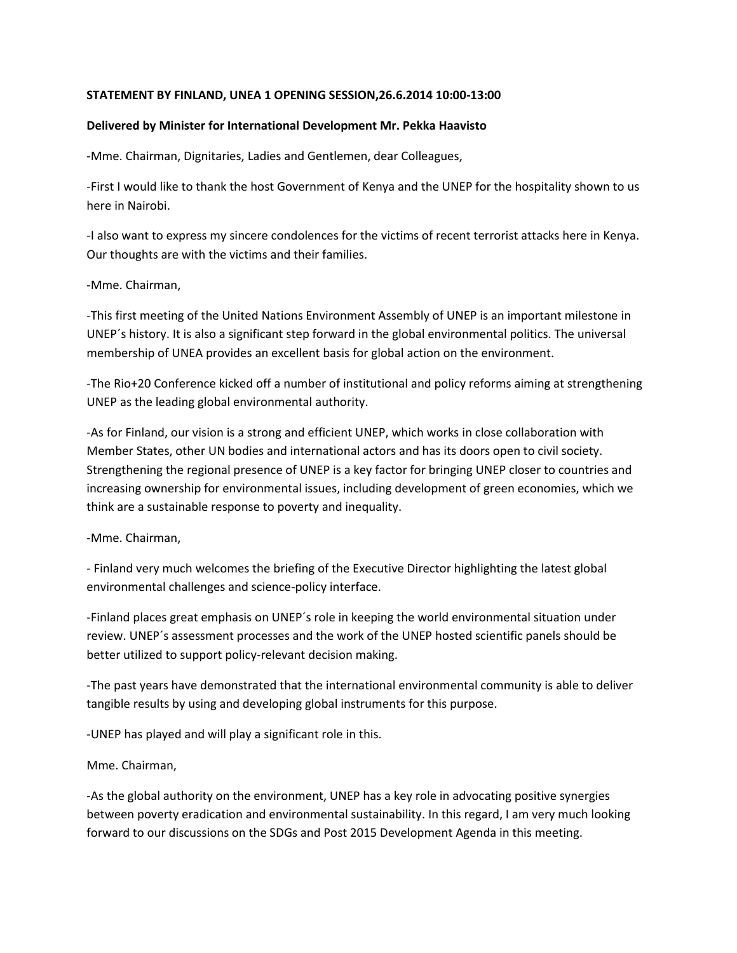# **STATEMENT BY FINLAND, UNEA 1 OPENING SESSION,26.6.2014 10:00-13:00**

## **Delivered by Minister for International Development Mr. Pekka Haavisto**

-Mme. Chairman, Dignitaries, Ladies and Gentlemen, dear Colleagues,

-First I would like to thank the host Government of Kenya and the UNEP for the hospitality shown to us here in Nairobi.

-I also want to express my sincere condolences for the victims of recent terrorist attacks here in Kenya. Our thoughts are with the victims and their families.

## -Mme. Chairman,

-This first meeting of the United Nations Environment Assembly of UNEP is an important milestone in UNEP´s history. It is also a significant step forward in the global environmental politics. The universal membership of UNEA provides an excellent basis for global action on the environment.

-The Rio+20 Conference kicked off a number of institutional and policy reforms aiming at strengthening UNEP as the leading global environmental authority.

-As for Finland, our vision is a strong and efficient UNEP, which works in close collaboration with Member States, other UN bodies and international actors and has its doors open to civil society. Strengthening the regional presence of UNEP is a key factor for bringing UNEP closer to countries and increasing ownership for environmental issues, including development of green economies, which we think are a sustainable response to poverty and inequality.

## -Mme. Chairman,

- Finland very much welcomes the briefing of the Executive Director highlighting the latest global environmental challenges and science-policy interface.

-Finland places great emphasis on UNEP´s role in keeping the world environmental situation under review. UNEP´s assessment processes and the work of the UNEP hosted scientific panels should be better utilized to support policy-relevant decision making.

-The past years have demonstrated that the international environmental community is able to deliver tangible results by using and developing global instruments for this purpose.

-UNEP has played and will play a significant role in this.

## Mme. Chairman,

-As the global authority on the environment, UNEP has a key role in advocating positive synergies between poverty eradication and environmental sustainability. In this regard, I am very much looking forward to our discussions on the SDGs and Post 2015 Development Agenda in this meeting.